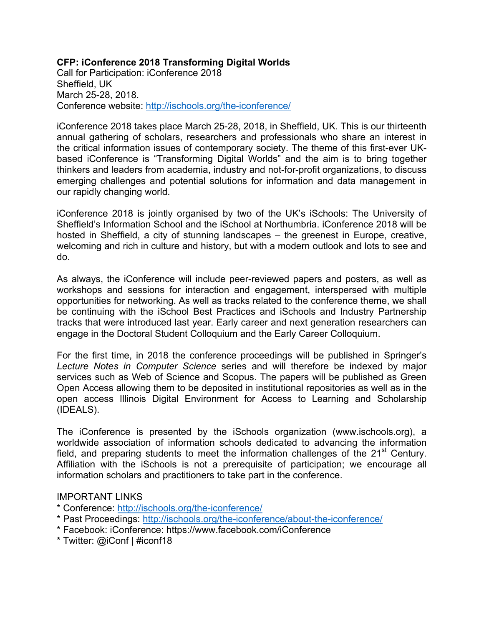# **CFP: iConference 2018 Transforming Digital Worlds**

Call for Participation: iConference 2018 Sheffield, UK March 25-28, 2018. Conference website: http://ischools.org/the-iconference/

iConference 2018 takes place March 25-28, 2018, in Sheffield, UK. This is our thirteenth annual gathering of scholars, researchers and professionals who share an interest in the critical information issues of contemporary society. The theme of this first-ever UKbased iConference is "Transforming Digital Worlds" and the aim is to bring together thinkers and leaders from academia, industry and not-for-profit organizations, to discuss emerging challenges and potential solutions for information and data management in our rapidly changing world.

iConference 2018 is jointly organised by two of the UK's iSchools: The University of Sheffield's Information School and the iSchool at Northumbria. iConference 2018 will be hosted in Sheffield, a city of stunning landscapes – the greenest in Europe, creative, welcoming and rich in culture and history, but with a modern outlook and lots to see and do.

As always, the iConference will include peer-reviewed papers and posters, as well as workshops and sessions for interaction and engagement, interspersed with multiple opportunities for networking. As well as tracks related to the conference theme, we shall be continuing with the iSchool Best Practices and iSchools and Industry Partnership tracks that were introduced last year. Early career and next generation researchers can engage in the Doctoral Student Colloquium and the Early Career Colloquium.

For the first time, in 2018 the conference proceedings will be published in Springer's *Lecture Notes in Computer Science* series and will therefore be indexed by major services such as Web of Science and Scopus. The papers will be published as Green Open Access allowing them to be deposited in institutional repositories as well as in the open access Illinois Digital Environment for Access to Learning and Scholarship (IDEALS).

The iConference is presented by the iSchools organization (www.ischools.org), a worldwide association of information schools dedicated to advancing the information field, and preparing students to meet the information challenges of the  $21<sup>st</sup>$  Century. Affiliation with the iSchools is not a prerequisite of participation; we encourage all information scholars and practitioners to take part in the conference.

## IMPORTANT LINKS

- \* Conference: http://ischools.org/the-iconference/
- \* Past Proceedings: http://ischools.org/the-iconference/about-the-iconference/
- \* Facebook: iConference: https://www.facebook.com/iConference
- \* Twitter: @iConf | #iconf18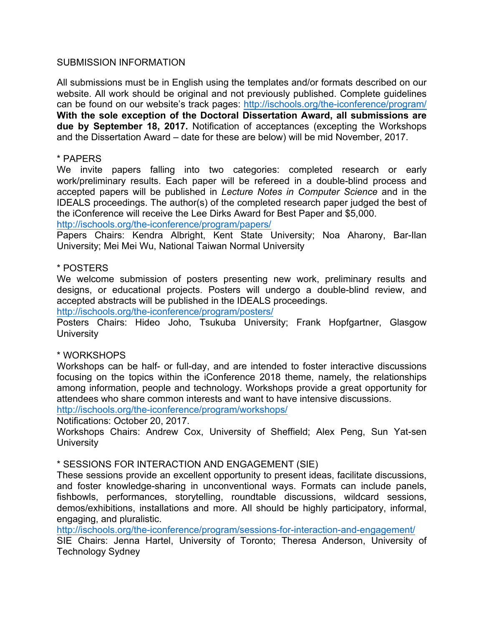### SUBMISSION INFORMATION

All submissions must be in English using the templates and/or formats described on our website. All work should be original and not previously published. Complete guidelines can be found on our website's track pages: http://ischools.org/the-iconference/program/ **With the sole exception of the Doctoral Dissertation Award, all submissions are due by September 18, 2017.** Notification of acceptances (excepting the Workshops and the Dissertation Award – date for these are below) will be mid November, 2017.

### \* PAPERS

We invite papers falling into two categories: completed research or early work/preliminary results. Each paper will be refereed in a double-blind process and accepted papers will be published in *Lecture Notes in Computer Science* and in the IDEALS proceedings. The author(s) of the completed research paper judged the best of the iConference will receive the Lee Dirks Award for Best Paper and \$5,000.

http://ischools.org/the-iconference/program/papers/

Papers Chairs: Kendra Albright, Kent State University; Noa Aharony, Bar-Ilan University; Mei Mei Wu, National Taiwan Normal University

### \* POSTERS

We welcome submission of posters presenting new work, preliminary results and designs, or educational projects. Posters will undergo a double-blind review, and accepted abstracts will be published in the IDEALS proceedings.

http://ischools.org/the-iconference/program/posters/

Posters Chairs: Hideo Joho, Tsukuba University; Frank Hopfgartner, Glasgow **University** 

#### \* WORKSHOPS

Workshops can be half- or full-day, and are intended to foster interactive discussions focusing on the topics within the iConference 2018 theme, namely, the relationships among information, people and technology. Workshops provide a great opportunity for attendees who share common interests and want to have intensive discussions.

http://ischools.org/the-iconference/program/workshops/

Notifications: October 20, 2017.

Workshops Chairs: Andrew Cox, University of Sheffield; Alex Peng, Sun Yat-sen **University** 

#### \* SESSIONS FOR INTERACTION AND ENGAGEMENT (SIE)

These sessions provide an excellent opportunity to present ideas, facilitate discussions, and foster knowledge-sharing in unconventional ways. Formats can include panels, fishbowls, performances, storytelling, roundtable discussions, wildcard sessions, demos/exhibitions, installations and more. All should be highly participatory, informal, engaging, and pluralistic.

http://ischools.org/the-iconference/program/sessions-for-interaction-and-engagement/

SIE Chairs: Jenna Hartel, University of Toronto; Theresa Anderson, University of Technology Sydney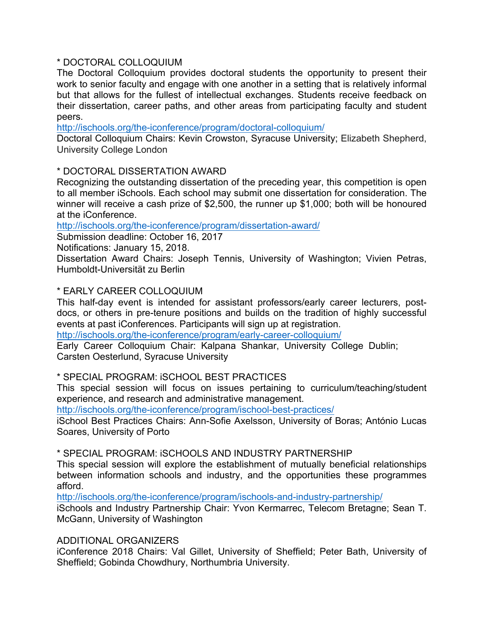## \* DOCTORAL COLLOQUIUM

The Doctoral Colloquium provides doctoral students the opportunity to present their work to senior faculty and engage with one another in a setting that is relatively informal but that allows for the fullest of intellectual exchanges. Students receive feedback on their dissertation, career paths, and other areas from participating faculty and student peers.

http://ischools.org/the-iconference/program/doctoral-colloquium/

Doctoral Colloquium Chairs: Kevin Crowston, Syracuse University; Elizabeth Shepherd, University College London

## \* DOCTORAL DISSERTATION AWARD

Recognizing the outstanding dissertation of the preceding year, this competition is open to all member iSchools. Each school may submit one dissertation for consideration. The winner will receive a cash prize of \$2,500, the runner up \$1,000; both will be honoured at the iConference.

http://ischools.org/the-iconference/program/dissertation-award/

Submission deadline: October 16, 2017

Notifications: January 15, 2018.

Dissertation Award Chairs: Joseph Tennis, University of Washington; Vivien Petras, Humboldt-Universität zu Berlin

## \* EARLY CAREER COLLOQUIUM

This half-day event is intended for assistant professors/early career lecturers, postdocs, or others in pre-tenure positions and builds on the tradition of highly successful events at past iConferences. Participants will sign up at registration.

http://ischools.org/the-iconference/program/early-career-colloquium/

Early Career Colloquium Chair: Kalpana Shankar, University College Dublin; Carsten Oesterlund, Syracuse University

## \* SPECIAL PROGRAM: iSCHOOL BEST PRACTICES

This special session will focus on issues pertaining to curriculum/teaching/student experience, and research and administrative management.

http://ischools.org/the-iconference/program/ischool-best-practices/

iSchool Best Practices Chairs: Ann-Sofie Axelsson, University of Boras; António Lucas Soares, University of Porto

\* SPECIAL PROGRAM: iSCHOOLS AND INDUSTRY PARTNERSHIP

This special session will explore the establishment of mutually beneficial relationships between information schools and industry, and the opportunities these programmes afford.

http://ischools.org/the-iconference/program/ischools-and-industry-partnership/

iSchools and Industry Partnership Chair: Yvon Kermarrec, Telecom Bretagne; Sean T. McGann, University of Washington

## ADDITIONAL ORGANIZERS

iConference 2018 Chairs: Val Gillet, University of Sheffield; Peter Bath, University of Sheffield; Gobinda Chowdhury, Northumbria University.